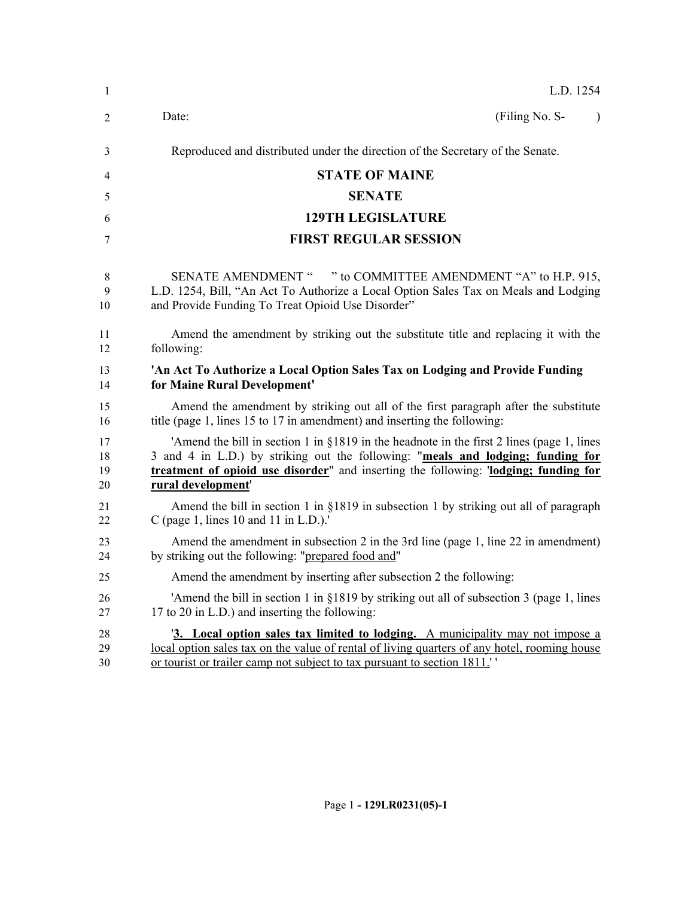| 1                    | L.D. 1254                                                                                                                                                                                                                                                                                  |
|----------------------|--------------------------------------------------------------------------------------------------------------------------------------------------------------------------------------------------------------------------------------------------------------------------------------------|
| 2                    | (Filing No. S-<br>Date:<br>$\mathcal{E}$                                                                                                                                                                                                                                                   |
| 3                    | Reproduced and distributed under the direction of the Secretary of the Senate.                                                                                                                                                                                                             |
| 4                    | <b>STATE OF MAINE</b>                                                                                                                                                                                                                                                                      |
| 5                    | <b>SENATE</b>                                                                                                                                                                                                                                                                              |
| 6                    | <b>129TH LEGISLATURE</b>                                                                                                                                                                                                                                                                   |
| 7                    | <b>FIRST REGULAR SESSION</b>                                                                                                                                                                                                                                                               |
| 8<br>9<br>10         | <b>SENATE AMENDMENT "</b><br>" to COMMITTEE AMENDMENT "A" to H.P. 915,<br>L.D. 1254, Bill, "An Act To Authorize a Local Option Sales Tax on Meals and Lodging<br>and Provide Funding To Treat Opioid Use Disorder"                                                                         |
| 11<br>12             | Amend the amendment by striking out the substitute title and replacing it with the<br>following:                                                                                                                                                                                           |
| 13<br>14             | 'An Act To Authorize a Local Option Sales Tax on Lodging and Provide Funding<br>for Maine Rural Development'                                                                                                                                                                               |
| 15<br>16             | Amend the amendment by striking out all of the first paragraph after the substitute<br>title (page 1, lines 15 to 17 in amendment) and inserting the following:                                                                                                                            |
| 17<br>18<br>19<br>20 | 'Amend the bill in section 1 in §1819 in the headnote in the first 2 lines (page 1, lines<br>3 and 4 in L.D.) by striking out the following: "meals and lodging; funding for<br>treatment of opioid use disorder" and inserting the following: "lodging; funding for<br>rural development' |
| 21<br>22             | Amend the bill in section 1 in §1819 in subsection 1 by striking out all of paragraph<br>C (page 1, lines 10 and 11 in $L.D.$ ).                                                                                                                                                           |
| 23<br>24             | Amend the amendment in subsection 2 in the 3rd line (page 1, line 22 in amendment)<br>by striking out the following: "prepared food and"                                                                                                                                                   |
| 25                   | Amend the amendment by inserting after subsection 2 the following:                                                                                                                                                                                                                         |
| 26<br>27             | 'Amend the bill in section 1 in $\S$ 1819 by striking out all of subsection 3 (page 1, lines<br>17 to 20 in L.D.) and inserting the following:                                                                                                                                             |
| 28<br>29<br>30       | <sup>'3</sup> . Local option sales tax limited to lodging. A municipality may not impose a<br>local option sales tax on the value of rental of living quarters of any hotel, rooming house<br>or tourist or trailer camp not subject to tax pursuant to section 1811."                     |